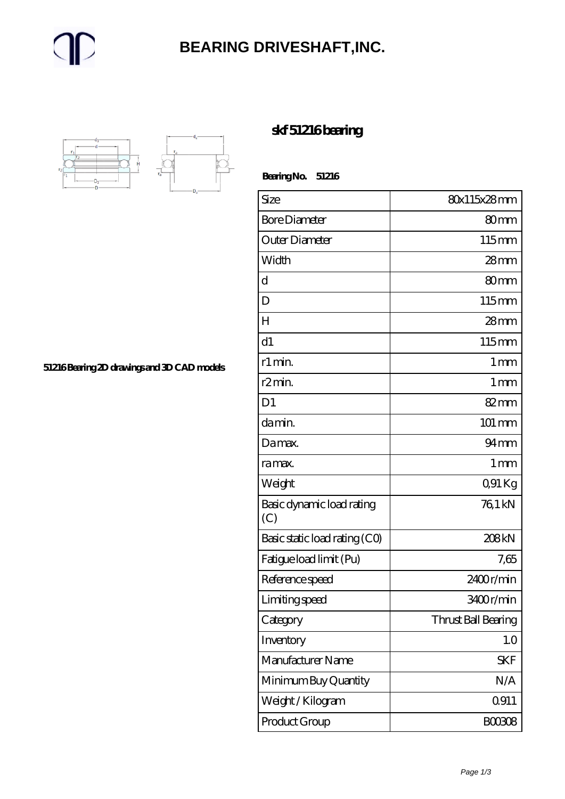#### **[BEARING DRIVESHAFT,INC.](https://m.trendco-vick.com)**



**[51216 Bearing 2D drawings and 3D CAD models](https://m.trendco-vick.com/pic-411919.html)**

#### **[skf 51216 bearing](https://m.trendco-vick.com/skf-51216-bearing/)**

 **Bearing No. 51216**

Size 80x115x28 mm Bore Diameter 80 mm Outer Diameter 115 mm Width 28 mm d 80mm D 115mm H  $\sim$  28 mm d1 115mm r1 min. 1 mm r $2 \text{min.}$  1 mm D1 82mm da min. 101 mm Da max. 94 mm ra max. I mm Weight COM COM Kg Basic dynamic load rating (C) 76,1 kN Basic static load rating  $(CO)$  208 kN Fatigue load limit (Pu) 7,65 Reference speed 2400 r/min Limiting speed and 13400 r/min Category Thrust Ball Bearing Inventory 1.0 Manufacturer Name Minimum Buy Quantity  $N/A$ Weight / Kilogram 19911 Product Group B00308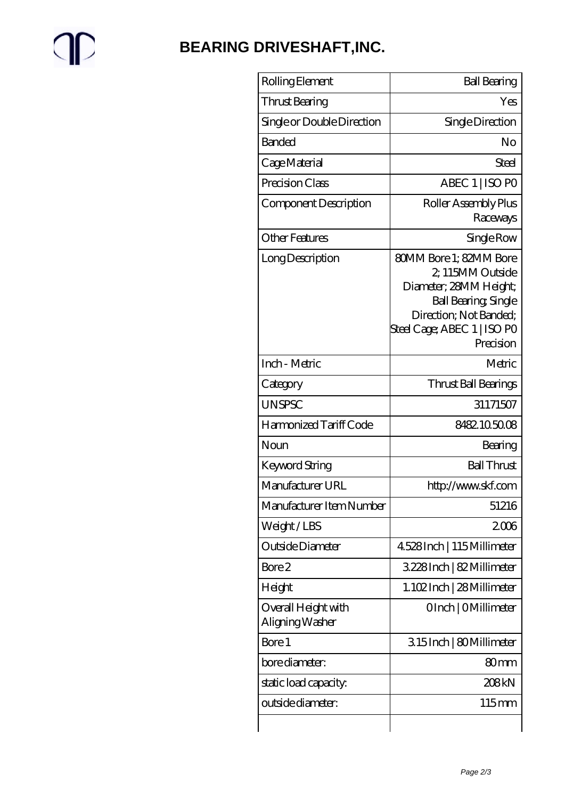# $\mathbb{P}$

### **[BEARING DRIVESHAFT,INC.](https://m.trendco-vick.com)**

| Yes                                                                                                                                                                |
|--------------------------------------------------------------------------------------------------------------------------------------------------------------------|
| Single Direction                                                                                                                                                   |
| No                                                                                                                                                                 |
| Steel                                                                                                                                                              |
| ABEC 1   ISO PO                                                                                                                                                    |
| Roller Assembly Plus<br>Raceways                                                                                                                                   |
| Single Row                                                                                                                                                         |
| 80MM Bore 1: 82MM Bore<br>2, 115MM Outside<br>Diameter; 28MM Height;<br>Ball Bearing, Single<br>Direction; Not Banded;<br>Steel Cage; ABEC 1   ISO PO<br>Precision |
| Metric                                                                                                                                                             |
| Thrust Ball Bearings                                                                                                                                               |
| 31171507                                                                                                                                                           |
| 8482105008                                                                                                                                                         |
| Bearing                                                                                                                                                            |
| <b>Ball Thrust</b>                                                                                                                                                 |
| http://www.skf.com                                                                                                                                                 |
| 51216                                                                                                                                                              |
| 2006                                                                                                                                                               |
| 4.528 Inch   115 Millimeter                                                                                                                                        |
| 3228Inch   82 Millimeter                                                                                                                                           |
| 1.102 Inch   28 Millimeter                                                                                                                                         |
| OInch   OMillimeter                                                                                                                                                |
| 315Inch   80Millimeter                                                                                                                                             |
| 80 <sub>mm</sub>                                                                                                                                                   |
| 208kN                                                                                                                                                              |
| $115 \text{mm}$                                                                                                                                                    |
|                                                                                                                                                                    |